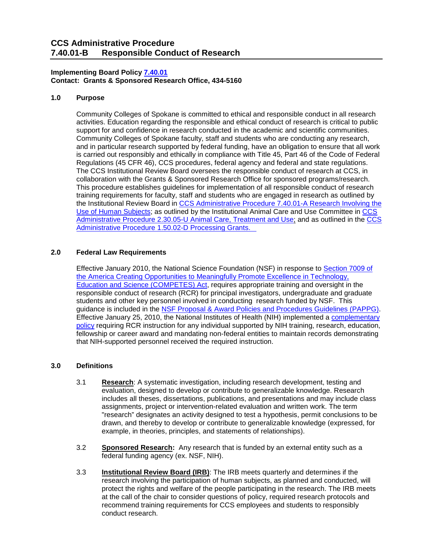## **Implementing Board Polic[y 7.40.01](https://ccs.spokane.edu/About-Us/Leadership/Board-of-Trustees/Policies-Procedures/Chapter7#AccWE2-6) Contact: Grants & Sponsored Research Office, 434-5160**

## **1.0 Purpose**

Community Colleges of Spokane is committed to ethical and responsible conduct in all research activities. Education regarding the responsible and ethical conduct of research is critical to public support for and confidence in research conducted in the academic and scientific communities. Community Colleges of Spokane faculty, staff and students who are conducting any research, and in particular research supported by federal funding, have an obligation to ensure that all work is carried out responsibly and ethically in compliance with Title 45, Part 46 of the Code of Federal Regulations (45 CFR 46), CCS procedures, federal agency and federal and state regulations. The CCS Institutional Review Board oversees the responsible conduct of research at CCS, in collaboration with the Grants & Sponsored Research Office for sponsored programs/research. This procedure establishes guidelines for implementation of all responsible conduct of research training requirements for faculty, staff and students who are engaged in research as outlined by the Institutional Review Board in [CCS Administrative Procedure 7.40.01-A Research Involving the](https://ccs.spokane.edu/ccsglobal/media/Global/PDFs/District/Policies/CH7/7.40.01_HumanSubjects/7-40-01A_HumanSubjects.pdf)  [Use of Human Subjects;](https://ccs.spokane.edu/ccsglobal/media/Global/PDFs/District/Policies/CH7/7.40.01_HumanSubjects/7-40-01A_HumanSubjects.pdf) as outlined by the Institutional Animal Care and Use Committee in [CCS](https://ccs.spokane.edu/ccsglobal/media/Global/PDFs/District/Policies/CH2/2.30.05_WorkplaceSafety/2-30-05U_AnimalCareTreatmentAndUse.pdf)  [Administrative Procedure 2.30.05-U Animal Care, Treatment and Use;](https://ccs.spokane.edu/ccsglobal/media/Global/PDFs/District/Policies/CH2/2.30.05_WorkplaceSafety/2-30-05U_AnimalCareTreatmentAndUse.pdf) and as outlined in the [CCS](https://ccs.spokane.edu/ccsglobal/media/Global/PDFs/District/Policies/CH1/1-50-02D_ProcessingGrants.pdf)  [Administrative Procedure 1.50.02-D Processing Grants.](https://ccs.spokane.edu/ccsglobal/media/Global/PDFs/District/Policies/CH1/1-50-02D_ProcessingGrants.pdf) 

## **2.0 Federal Law Requirements**

Effective January 2010, the National Science Foundation (NSF) in response to [Section 7009 of](https://www.congress.gov/110/plaws/publ69/PLAW-110publ69.pdf)  [the America Creating Opportunities to Meaningfully Promote Excellence in Technology,](https://www.congress.gov/110/plaws/publ69/PLAW-110publ69.pdf)  [Education and Science \(COMPETES\) Act,](https://www.congress.gov/110/plaws/publ69/PLAW-110publ69.pdf) requires appropriate training and oversight in the responsible conduct of research (RCR) for principal investigators, undergraduate and graduate students and other key personnel involved in conducting research funded by NSF. This guidance is included in the [NSF Proposal & Award Policies and Procedures Guidelines \(PAPPG\).](https://www.nsf.gov/pubs/policydocs/pappg18_1/pappg_9.jsp#IXB) Effective January 25, 2010, the National Institutes of Health (NIH) implemented a [complementary](https://grants.nih.gov/grants/guide/notice-files/not-od-10-019.html)  [policy](https://grants.nih.gov/grants/guide/notice-files/not-od-10-019.html) requiring RCR instruction for any individual supported by NIH training, research, education, fellowship or career award and mandating non-federal entities to maintain records demonstrating that NIH-supported personnel received the required instruction.

#### **3.0 Definitions**

- 3.1 **Research**: A systematic investigation, including research development, testing and evaluation, designed to develop or contribute to generalizable knowledge. Research includes all theses, dissertations, publications, and presentations and may include class assignments, project or intervention-related evaluation and written work. The term "research" designates an activity designed to test a hypothesis, permit conclusions to be drawn, and thereby to develop or contribute to generalizable knowledge (expressed, for example, in theories, principles, and statements of relationships).
- 3.2 **Sponsored Research:** Any research that is funded by an external entity such as a federal funding agency (ex. NSF, NIH).
- 3.3 **Institutional Review Board (IRB)**: The IRB meets quarterly and determines if the research involving the participation of human subjects, as planned and conducted, will protect the rights and welfare of the people participating in the research. The IRB meets at the call of the chair to consider questions of policy, required research protocols and recommend training requirements for CCS employees and students to responsibly conduct research.